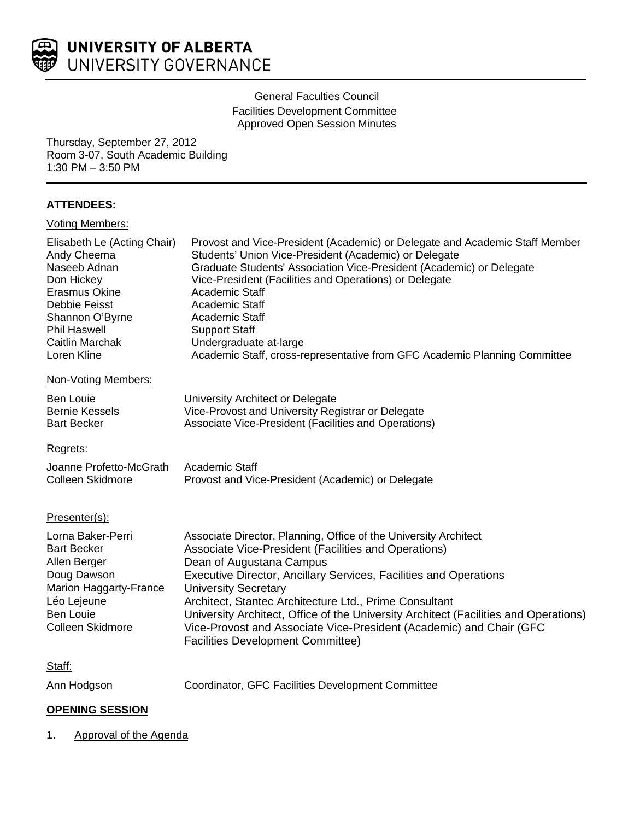

# **General Faculties Council**

Facilities Development Committee Approved Open Session Minutes

Thursday, September 27, 2012 Room 3-07, South Academic Building 1:30 PM – 3:50 PM

# **ATTENDEES:**

| <b>Voting Members:</b>                                                                                                                                                                 |                                                                                                                                                                                                                                                                                                                                                                                                                                                                                                                               |
|----------------------------------------------------------------------------------------------------------------------------------------------------------------------------------------|-------------------------------------------------------------------------------------------------------------------------------------------------------------------------------------------------------------------------------------------------------------------------------------------------------------------------------------------------------------------------------------------------------------------------------------------------------------------------------------------------------------------------------|
| Elisabeth Le (Acting Chair)<br>Andy Cheema<br>Naseeb Adnan<br>Don Hickey<br>Erasmus Okine<br>Debbie Feisst<br>Shannon O'Byrne<br><b>Phil Haswell</b><br>Caitlin Marchak<br>Loren Kline | Provost and Vice-President (Academic) or Delegate and Academic Staff Member<br>Students' Union Vice-President (Academic) or Delegate<br>Graduate Students' Association Vice-President (Academic) or Delegate<br>Vice-President (Facilities and Operations) or Delegate<br>Academic Staff<br>Academic Staff<br>Academic Staff<br><b>Support Staff</b><br>Undergraduate at-large<br>Academic Staff, cross-representative from GFC Academic Planning Committee                                                                   |
| Non-Voting Members:                                                                                                                                                                    |                                                                                                                                                                                                                                                                                                                                                                                                                                                                                                                               |
| <b>Ben Louie</b><br><b>Bernie Kessels</b><br><b>Bart Becker</b>                                                                                                                        | University Architect or Delegate<br>Vice-Provost and University Registrar or Delegate<br>Associate Vice-President (Facilities and Operations)                                                                                                                                                                                                                                                                                                                                                                                 |
| Regrets:                                                                                                                                                                               |                                                                                                                                                                                                                                                                                                                                                                                                                                                                                                                               |
| Joanne Profetto-McGrath<br>Colleen Skidmore                                                                                                                                            | Academic Staff<br>Provost and Vice-President (Academic) or Delegate                                                                                                                                                                                                                                                                                                                                                                                                                                                           |
| Presenter(s):                                                                                                                                                                          |                                                                                                                                                                                                                                                                                                                                                                                                                                                                                                                               |
| Lorna Baker-Perri<br><b>Bart Becker</b><br>Allen Berger<br>Doug Dawson<br>Marion Haggarty-France<br>Léo Lejeune<br><b>Ben Louie</b><br>Colleen Skidmore                                | Associate Director, Planning, Office of the University Architect<br>Associate Vice-President (Facilities and Operations)<br>Dean of Augustana Campus<br>Executive Director, Ancillary Services, Facilities and Operations<br><b>University Secretary</b><br>Architect, Stantec Architecture Ltd., Prime Consultant<br>University Architect, Office of the University Architect (Facilities and Operations)<br>Vice-Provost and Associate Vice-President (Academic) and Chair (GFC<br><b>Facilities Development Committee)</b> |
| Staff:                                                                                                                                                                                 |                                                                                                                                                                                                                                                                                                                                                                                                                                                                                                                               |
| Ann Hodgson                                                                                                                                                                            | Coordinator, GFC Facilities Development Committee                                                                                                                                                                                                                                                                                                                                                                                                                                                                             |

# **OPENING SESSION**

1. Approval of the Agenda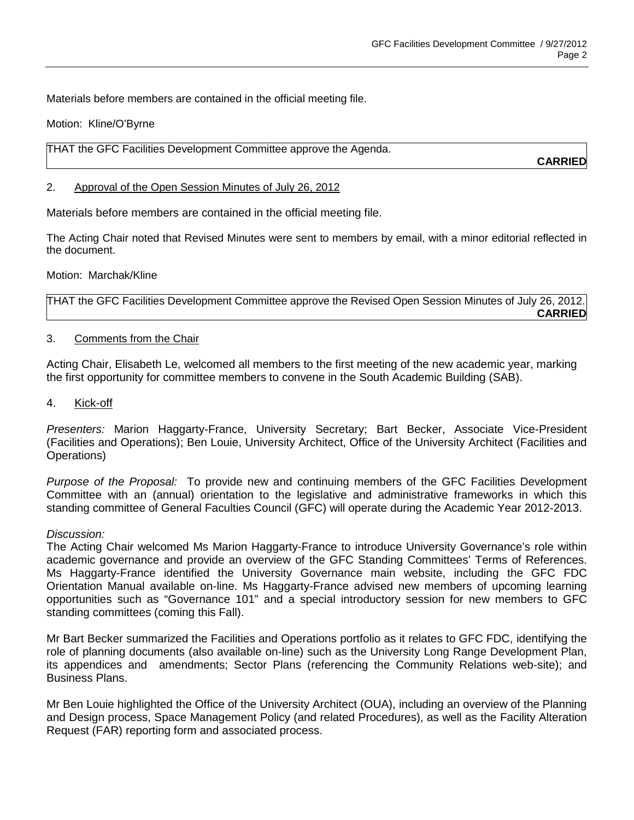Materials before members are contained in the official meeting file.

Motion: Kline/O'Byrne

THAT the GFC Facilities Development Committee approve the Agenda.

**CARRIED**

## 2. Approval of the Open Session Minutes of July 26, 2012

Materials before members are contained in the official meeting file.

The Acting Chair noted that Revised Minutes were sent to members by email, with a minor editorial reflected in the document.

Motion: Marchak/Kline

THAT the GFC Facilities Development Committee approve the Revised Open Session Minutes of July 26, 2012. **CARRIED**

# 3. Comments from the Chair

Acting Chair, Elisabeth Le, welcomed all members to the first meeting of the new academic year, marking the first opportunity for committee members to convene in the South Academic Building (SAB).

4. Kick-off

*Presenters:* Marion Haggarty-France, University Secretary; Bart Becker, Associate Vice-President (Facilities and Operations); Ben Louie, University Architect, Office of the University Architect (Facilities and Operations)

*Purpose of the Proposal:* To provide new and continuing members of the GFC Facilities Development Committee with an (annual) orientation to the legislative and administrative frameworks in which this standing committee of General Faculties Council (GFC) will operate during the Academic Year 2012-2013.

#### *Discussion:*

The Acting Chair welcomed Ms Marion Haggarty-France to introduce University Governance's role within academic governance and provide an overview of the GFC Standing Committees' Terms of References. Ms Haggarty-France identified the University Governance main website, including the GFC FDC Orientation Manual available on-line. Ms Haggarty-France advised new members of upcoming learning opportunities such as "Governance 101" and a special introductory session for new members to GFC standing committees (coming this Fall).

Mr Bart Becker summarized the Facilities and Operations portfolio as it relates to GFC FDC, identifying the role of planning documents (also available on-line) such as the University Long Range Development Plan, its appendices and amendments; Sector Plans (referencing the Community Relations web-site); and Business Plans.

Mr Ben Louie highlighted the Office of the University Architect (OUA), including an overview of the Planning and Design process, Space Management Policy (and related Procedures), as well as the Facility Alteration Request (FAR) reporting form and associated process.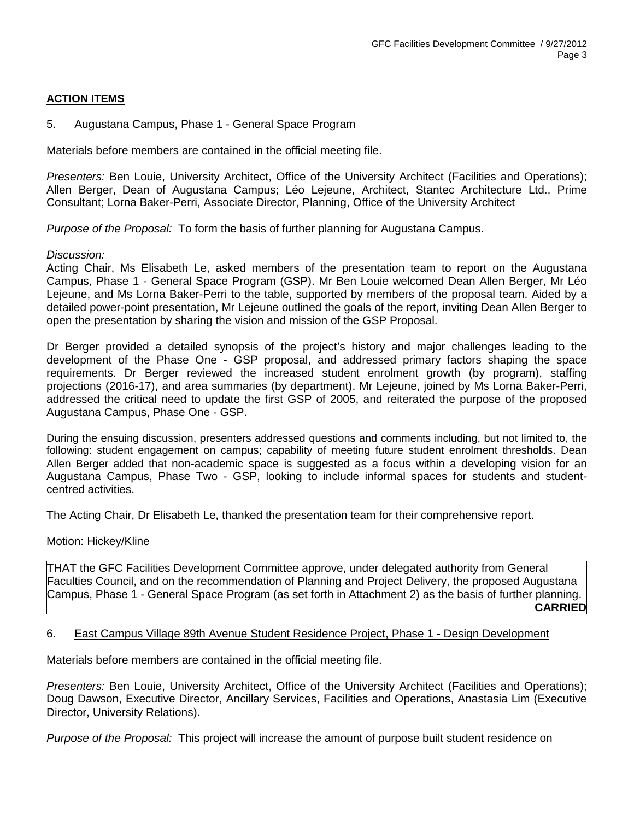# **ACTION ITEMS**

# 5. Augustana Campus, Phase 1 - General Space Program

Materials before members are contained in the official meeting file.

*Presenters:* Ben Louie, University Architect, Office of the University Architect (Facilities and Operations); Allen Berger, Dean of Augustana Campus; Léo Lejeune, Architect, Stantec Architecture Ltd., Prime Consultant; Lorna Baker-Perri, Associate Director, Planning, Office of the University Architect

*Purpose of the Proposal:* To form the basis of further planning for Augustana Campus.

#### *Discussion:*

Acting Chair, Ms Elisabeth Le, asked members of the presentation team to report on the Augustana Campus, Phase 1 - General Space Program (GSP). Mr Ben Louie welcomed Dean Allen Berger, Mr Léo Lejeune, and Ms Lorna Baker-Perri to the table, supported by members of the proposal team. Aided by a detailed power-point presentation, Mr Lejeune outlined the goals of the report, inviting Dean Allen Berger to open the presentation by sharing the vision and mission of the GSP Proposal.

Dr Berger provided a detailed synopsis of the project's history and major challenges leading to the development of the Phase One - GSP proposal, and addressed primary factors shaping the space requirements. Dr Berger reviewed the increased student enrolment growth (by program), staffing projections (2016-17), and area summaries (by department). Mr Lejeune, joined by Ms Lorna Baker-Perri, addressed the critical need to update the first GSP of 2005, and reiterated the purpose of the proposed Augustana Campus, Phase One - GSP.

During the ensuing discussion, presenters addressed questions and comments including, but not limited to, the following: student engagement on campus; capability of meeting future student enrolment thresholds. Dean Allen Berger added that non-academic space is suggested as a focus within a developing vision for an Augustana Campus, Phase Two - GSP, looking to include informal spaces for students and studentcentred activities.

The Acting Chair, Dr Elisabeth Le, thanked the presentation team for their comprehensive report.

Motion: Hickey/Kline

THAT the GFC Facilities Development Committee approve, under delegated authority from General Faculties Council, and on the recommendation of Planning and Project Delivery, the proposed Augustana Campus, Phase 1 - General Space Program (as set forth in Attachment 2) as the basis of further planning. **CARRIED**

#### 6. East Campus Village 89th Avenue Student Residence Project, Phase 1 - Design Development

Materials before members are contained in the official meeting file.

*Presenters:* Ben Louie, University Architect, Office of the University Architect (Facilities and Operations); Doug Dawson, Executive Director, Ancillary Services, Facilities and Operations, Anastasia Lim (Executive Director, University Relations).

*Purpose of the Proposal:* This project will increase the amount of purpose built student residence on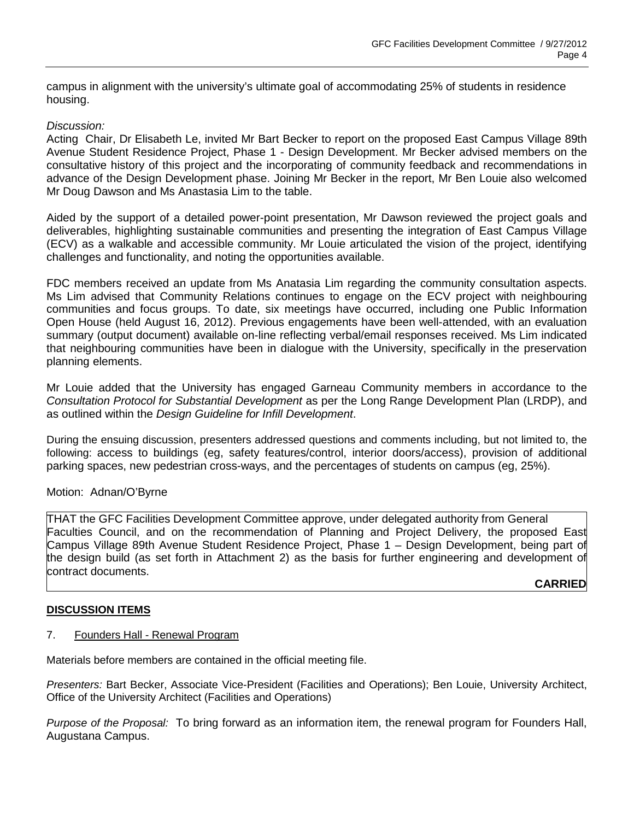campus in alignment with the university's ultimate goal of accommodating 25% of students in residence housing.

# *Discussion:*

Acting Chair, Dr Elisabeth Le, invited Mr Bart Becker to report on the proposed East Campus Village 89th Avenue Student Residence Project, Phase 1 - Design Development. Mr Becker advised members on the consultative history of this project and the incorporating of community feedback and recommendations in advance of the Design Development phase. Joining Mr Becker in the report, Mr Ben Louie also welcomed Mr Doug Dawson and Ms Anastasia Lim to the table.

Aided by the support of a detailed power-point presentation, Mr Dawson reviewed the project goals and deliverables, highlighting sustainable communities and presenting the integration of East Campus Village (ECV) as a walkable and accessible community. Mr Louie articulated the vision of the project, identifying challenges and functionality, and noting the opportunities available.

FDC members received an update from Ms Anatasia Lim regarding the community consultation aspects. Ms Lim advised that Community Relations continues to engage on the ECV project with neighbouring communities and focus groups. To date, six meetings have occurred, including one Public Information Open House (held August 16, 2012). Previous engagements have been well-attended, with an evaluation summary (output document) available on-line reflecting verbal/email responses received. Ms Lim indicated that neighbouring communities have been in dialogue with the University, specifically in the preservation planning elements.

Mr Louie added that the University has engaged Garneau Community members in accordance to the *Consultation Protocol for Substantial Development* as per the Long Range Development Plan (LRDP), and as outlined within the *Design Guideline for Infill Development*.

During the ensuing discussion, presenters addressed questions and comments including, but not limited to, the following: access to buildings (eg, safety features/control, interior doors/access), provision of additional parking spaces, new pedestrian cross-ways, and the percentages of students on campus (eg, 25%).

#### Motion: Adnan/O'Byrne

THAT the GFC Facilities Development Committee approve, under delegated authority from General Faculties Council, and on the recommendation of Planning and Project Delivery, the proposed East Campus Village 89th Avenue Student Residence Project, Phase 1 – Design Development, being part of the design build (as set forth in Attachment 2) as the basis for further engineering and development of contract documents.

#### **CARRIED**

#### **DISCUSSION ITEMS**

#### 7. Founders Hall - Renewal Program

Materials before members are contained in the official meeting file.

*Presenters:* Bart Becker, Associate Vice-President (Facilities and Operations); Ben Louie, University Architect, Office of the University Architect (Facilities and Operations)

*Purpose of the Proposal:* To bring forward as an information item, the renewal program for Founders Hall, Augustana Campus.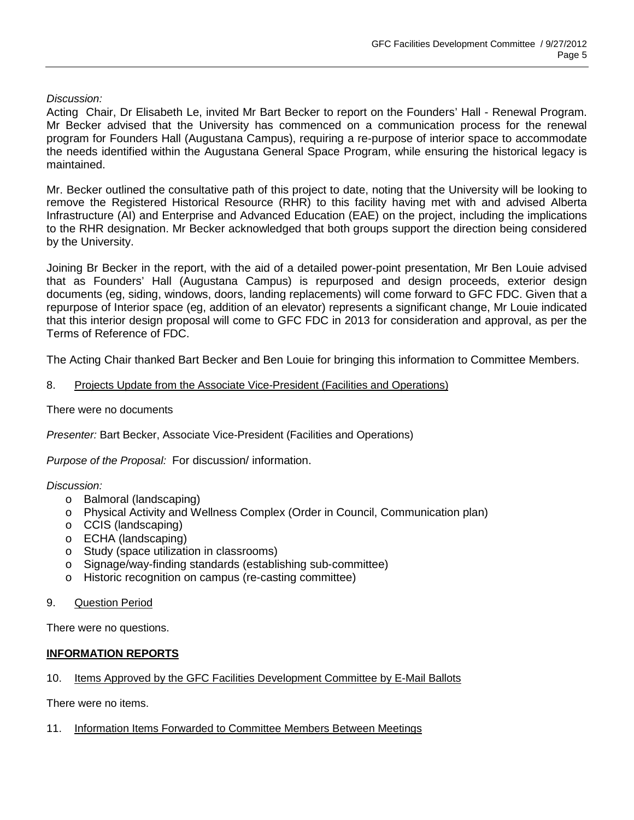# *Discussion:*

Acting Chair, Dr Elisabeth Le, invited Mr Bart Becker to report on the Founders' Hall - Renewal Program. Mr Becker advised that the University has commenced on a communication process for the renewal program for Founders Hall (Augustana Campus), requiring a re-purpose of interior space to accommodate the needs identified within the Augustana General Space Program, while ensuring the historical legacy is maintained.

Mr. Becker outlined the consultative path of this project to date, noting that the University will be looking to remove the Registered Historical Resource (RHR) to this facility having met with and advised Alberta Infrastructure (AI) and Enterprise and Advanced Education (EAE) on the project, including the implications to the RHR designation. Mr Becker acknowledged that both groups support the direction being considered by the University.

Joining Br Becker in the report, with the aid of a detailed power-point presentation, Mr Ben Louie advised that as Founders' Hall (Augustana Campus) is repurposed and design proceeds, exterior design documents (eg, siding, windows, doors, landing replacements) will come forward to GFC FDC. Given that a repurpose of Interior space (eg, addition of an elevator) represents a significant change, Mr Louie indicated that this interior design proposal will come to GFC FDC in 2013 for consideration and approval, as per the Terms of Reference of FDC.

The Acting Chair thanked Bart Becker and Ben Louie for bringing this information to Committee Members.

#### 8. Projects Update from the Associate Vice-President (Facilities and Operations)

## There were no documents

*Presenter:* Bart Becker, Associate Vice-President (Facilities and Operations)

*Purpose of the Proposal:* For discussion/ information.

#### *Discussion:*

- o Balmoral (landscaping)
- o Physical Activity and Wellness Complex (Order in Council, Communication plan)
- o CCIS (landscaping)
- o ECHA (landscaping)<br>○ Study (space utilizati
- Study (space utilization in classrooms)
- o Signage/way-finding standards (establishing sub-committee)<br>o Historic recognition on campus (re-casting committee)
- Historic recognition on campus (re-casting committee)
- 9. Question Period

There were no questions.

#### **INFORMATION REPORTS**

#### 10. Items Approved by the GFC Facilities Development Committee by E-Mail Ballots

There were no items.

11. Information Items Forwarded to Committee Members Between Meetings